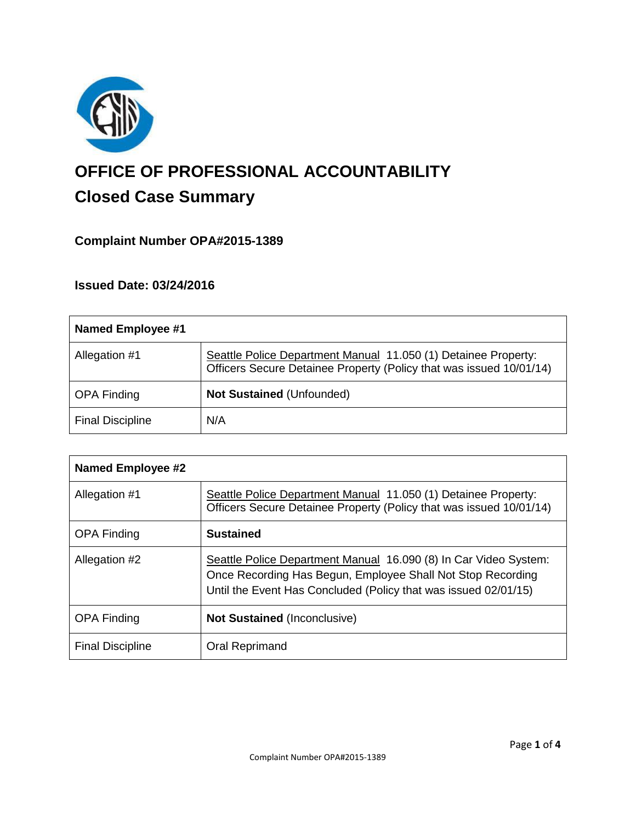

# **OFFICE OF PROFESSIONAL ACCOUNTABILITY Closed Case Summary**

# **Complaint Number OPA#2015-1389**

## **Issued Date: 03/24/2016**

| <b>Named Employee #1</b> |                                                                                                                                       |
|--------------------------|---------------------------------------------------------------------------------------------------------------------------------------|
| Allegation #1            | Seattle Police Department Manual 11.050 (1) Detainee Property:<br>Officers Secure Detainee Property (Policy that was issued 10/01/14) |
| <b>OPA Finding</b>       | <b>Not Sustained (Unfounded)</b>                                                                                                      |
| <b>Final Discipline</b>  | N/A                                                                                                                                   |

| <b>Named Employee #2</b> |                                                                                                                                                                                                    |
|--------------------------|----------------------------------------------------------------------------------------------------------------------------------------------------------------------------------------------------|
| Allegation #1            | Seattle Police Department Manual 11.050 (1) Detainee Property:<br>Officers Secure Detainee Property (Policy that was issued 10/01/14)                                                              |
| <b>OPA Finding</b>       | <b>Sustained</b>                                                                                                                                                                                   |
| Allegation #2            | Seattle Police Department Manual 16.090 (8) In Car Video System:<br>Once Recording Has Begun, Employee Shall Not Stop Recording<br>Until the Event Has Concluded (Policy that was issued 02/01/15) |
| <b>OPA Finding</b>       | <b>Not Sustained (Inconclusive)</b>                                                                                                                                                                |
| <b>Final Discipline</b>  | Oral Reprimand                                                                                                                                                                                     |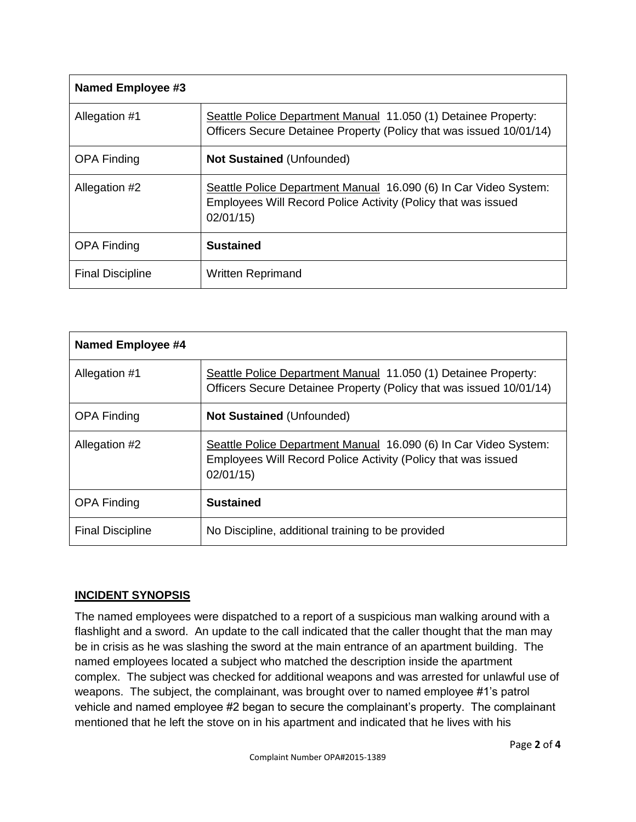| <b>Named Employee #3</b> |                                                                                                                                               |
|--------------------------|-----------------------------------------------------------------------------------------------------------------------------------------------|
| Allegation #1            | Seattle Police Department Manual 11.050 (1) Detainee Property:<br>Officers Secure Detainee Property (Policy that was issued 10/01/14)         |
| <b>OPA Finding</b>       | <b>Not Sustained (Unfounded)</b>                                                                                                              |
| Allegation #2            | Seattle Police Department Manual 16.090 (6) In Car Video System:<br>Employees Will Record Police Activity (Policy that was issued<br>02/01/15 |
| <b>OPA Finding</b>       | <b>Sustained</b>                                                                                                                              |
| <b>Final Discipline</b>  | <b>Written Reprimand</b>                                                                                                                      |

| Named Employee #4       |                                                                                                                                               |
|-------------------------|-----------------------------------------------------------------------------------------------------------------------------------------------|
| Allegation #1           | Seattle Police Department Manual 11.050 (1) Detainee Property:<br>Officers Secure Detainee Property (Policy that was issued 10/01/14)         |
| <b>OPA Finding</b>      | <b>Not Sustained (Unfounded)</b>                                                                                                              |
| Allegation #2           | Seattle Police Department Manual 16.090 (6) In Car Video System:<br>Employees Will Record Police Activity (Policy that was issued<br>02/01/15 |
| <b>OPA Finding</b>      | <b>Sustained</b>                                                                                                                              |
| <b>Final Discipline</b> | No Discipline, additional training to be provided                                                                                             |

## **INCIDENT SYNOPSIS**

The named employees were dispatched to a report of a suspicious man walking around with a flashlight and a sword. An update to the call indicated that the caller thought that the man may be in crisis as he was slashing the sword at the main entrance of an apartment building. The named employees located a subject who matched the description inside the apartment complex. The subject was checked for additional weapons and was arrested for unlawful use of weapons. The subject, the complainant, was brought over to named employee #1's patrol vehicle and named employee #2 began to secure the complainant's property. The complainant mentioned that he left the stove on in his apartment and indicated that he lives with his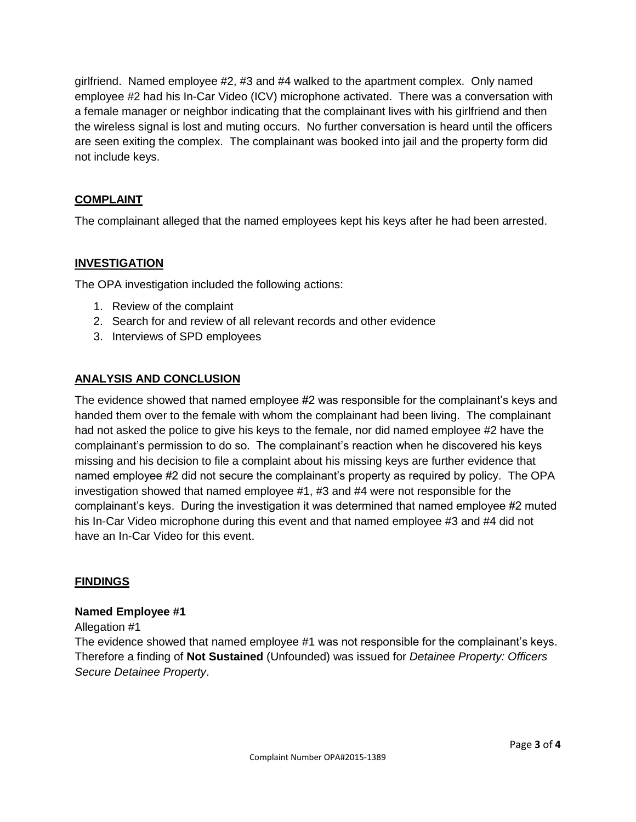girlfriend. Named employee #2, #3 and #4 walked to the apartment complex. Only named employee #2 had his In-Car Video (ICV) microphone activated. There was a conversation with a female manager or neighbor indicating that the complainant lives with his girlfriend and then the wireless signal is lost and muting occurs. No further conversation is heard until the officers are seen exiting the complex. The complainant was booked into jail and the property form did not include keys.

### **COMPLAINT**

The complainant alleged that the named employees kept his keys after he had been arrested.

### **INVESTIGATION**

The OPA investigation included the following actions:

- 1. Review of the complaint
- 2. Search for and review of all relevant records and other evidence
- 3. Interviews of SPD employees

#### **ANALYSIS AND CONCLUSION**

The evidence showed that named employee #2 was responsible for the complainant's keys and handed them over to the female with whom the complainant had been living. The complainant had not asked the police to give his keys to the female, nor did named employee #2 have the complainant's permission to do so. The complainant's reaction when he discovered his keys missing and his decision to file a complaint about his missing keys are further evidence that named employee #2 did not secure the complainant's property as required by policy. The OPA investigation showed that named employee #1, #3 and #4 were not responsible for the complainant's keys. During the investigation it was determined that named employee #2 muted his In-Car Video microphone during this event and that named employee #3 and #4 did not have an In-Car Video for this event.

#### **FINDINGS**

#### **Named Employee #1**

Allegation #1

The evidence showed that named employee #1 was not responsible for the complainant's keys. Therefore a finding of **Not Sustained** (Unfounded) was issued for *Detainee Property: Officers Secure Detainee Property*.